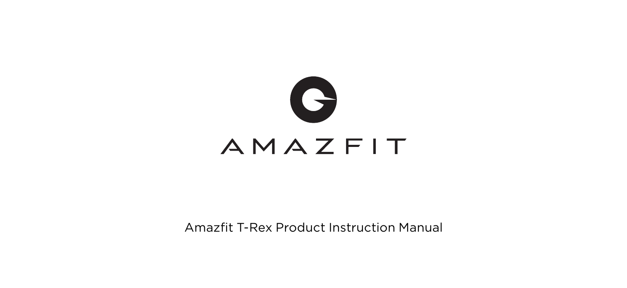

Amazfit T-Rex Product Instruction Manual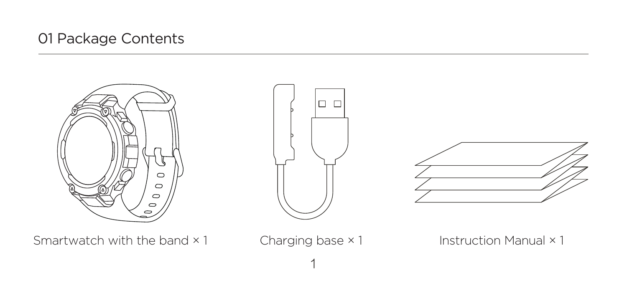## 01 Package Contents









1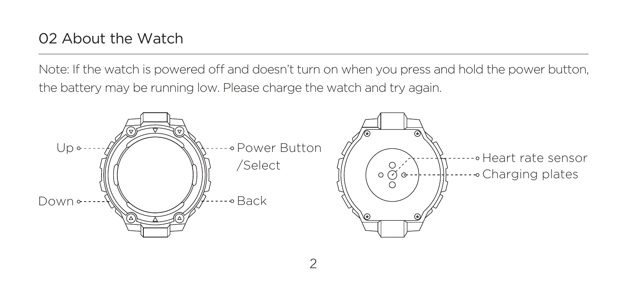Note: If the watch is powered off and doesn't turn on when you press and hold the power button, the battery may be running low. Please charge the watch and try again.

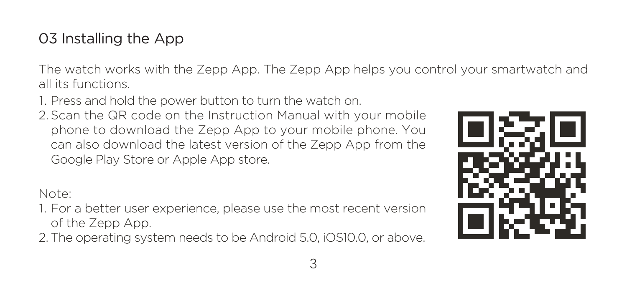The watch works with the Zepp App. The Zepp App helps you control your smartwatch and all its functions.

1. Press and hold the power button to turn the watch on.

2. Scan the QR code on the Instruction Manual with your mobile phone to download the Zepp App to your mobile phone. You can also download the latest version of the Zepp App from the Google Play Store or Apple App store.

Note:

- 1. For a better user experience, please use the most recent version of the Zepp App.
- 2. The operating system needs to be Android 5.0, iOS10.0, or above.

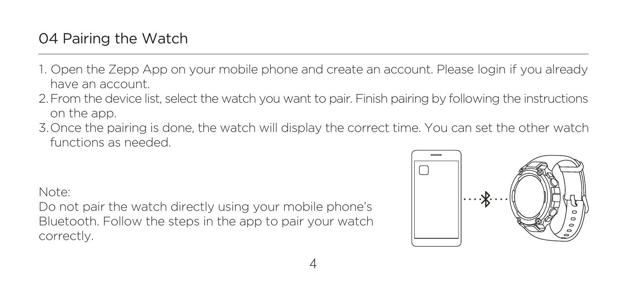- 1. Open the Zepp App on your mobile phone and create an account. Please login if you already have an account.
- 2. From the device list, select the watch you want to pair. Finish pairing by following the instructions on the app.
- 3. Once the pairing is done, the watch will display the correct time. You can set the other watch functions as needed.

Note:

Do not pair the watch directly using your mobile phone's Bluetooth. Follow the steps in the app to pair your watch correctly.

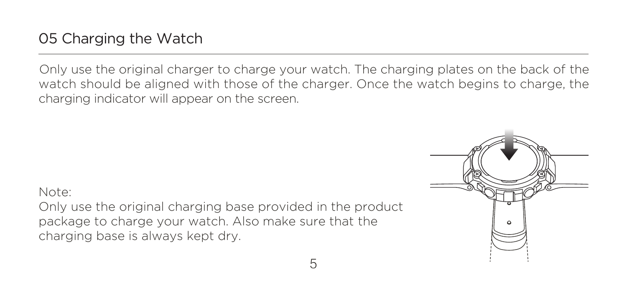Only use the original charger to charge your watch. The charging plates on the back of the watch should be aligned with those of the charger. Once the watch begins to charge, the charging indicator will appear on the screen.

Note: Only use the original charging base provided in the product package to charge your watch. Also make sure that the charging base is always kept dry.

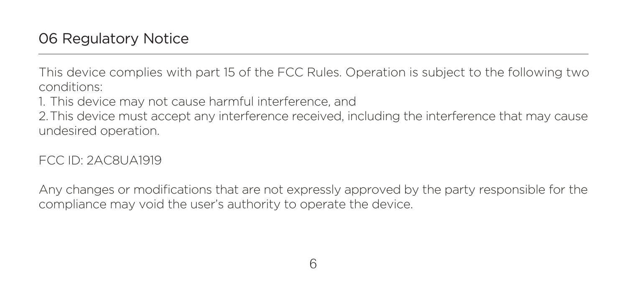This device complies with part 15 of the FCC Rules. Operation is subject to the following two conditions:

1. This device may not cause harmful interference, and

2.This device must accept any interference received, including the interference that may cause undesired operation.

FCC ID: 2AC8UA1919

Any changes or modifications that are not expressly approved by the party responsible for the compliance may void the user's authority to operate the device.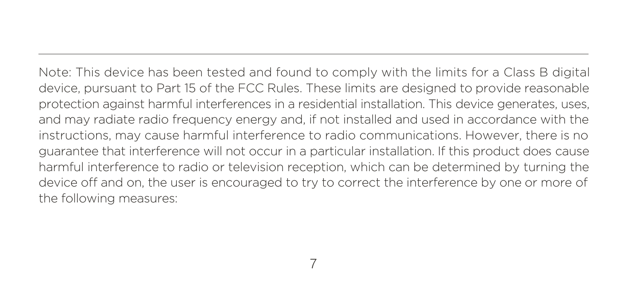Note: This device has been tested and found to comply with the limits for a Class B digital device, pursuant to Part 15 of the FCC Rules. These limits are designed to provide reasonable protection against harmful interferences in a residential installation. This device generates, uses, and may radiate radio frequency energy and, if not installed and used in accordance with the instructions, may cause harmful interference to radio communications. However, there is no guarantee that interference will not occur in a particular installation. If this product does cause harmful interference to radio or television reception, which can be determined by turning the device off and on, the user is encouraged to try to correct the interference by one or more of the following measures: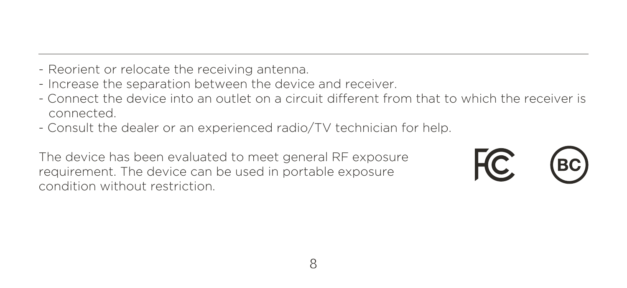- Reorient or relocate the receiving antenna.
- Increase the separation between the device and receiver.
- Connect the device into an outlet on a circuit different from that to which the receiver is connected.
- Consult the dealer or an experienced radio/TV technician for help.

The device has been evaluated to meet general RF exposure requirement. The device can be used in portable exposure condition without restriction.

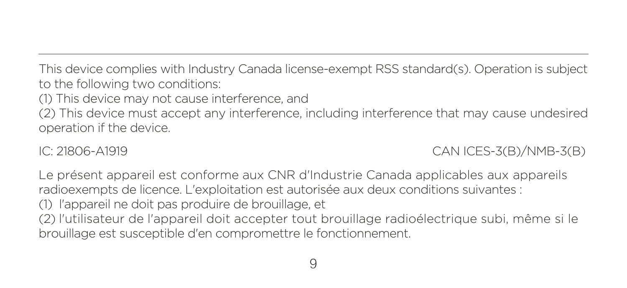This device complies with Industry Canada license-exempt RSS standard(s). Operation is subject to the following two conditions:

(1) This device may not cause interference, and

(2) This device must accept any interference, including interference that may cause undesired operation if the device.

IC: 21806-A1919 CAN ICES-3(B)/NMB-3(B)

Le présent appareil est conforme aux CNR d'Industrie Canada applicables aux appareils radioexempts de licence. L'exploitation est autorisée aux deux conditions suivantes : (1) l'appareil ne doit pas produire de brouillage, et (2) l'utilisateur de l'appareil doit accepter tout brouillage radioélectrique subi, même si le brouillage est susceptible d'en compromettre le fonctionnement.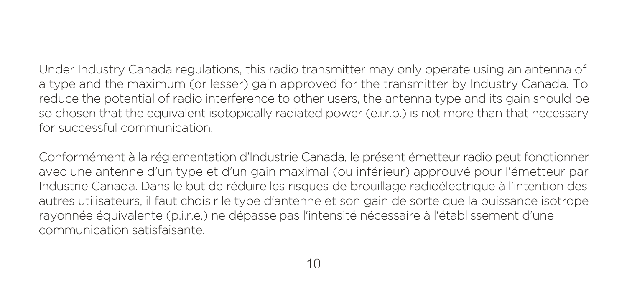Under Industry Canada regulations, this radio transmitter may only operate using an antenna of a type and the maximum (or lesser) gain approved for the transmitter by Industry Canada. To reduce the potential of radio interference to other users, the antenna type and its gain should be so chosen that the equivalent isotopically radiated power (e.i.r.p.) is not more than that necessary for successful communication.

Conformément à la réglementation d'Industrie Canada, le présent émetteur radio peut fonctionner avec une antenne d'un type et d'un gain maximal (ou inférieur) approuvé pour l'émetteur par Industrie Canada. Dans le but de réduire les risques de brouillage radioélectrique à l'intention des autres utilisateurs, il faut choisir le type d'antenne et son gain de sorte que la puissance isotrope rayonnée équivalente (p.i.r.e.) ne dépasse pas l'intensité nécessaire à l'établissement d'une communication satisfaisante.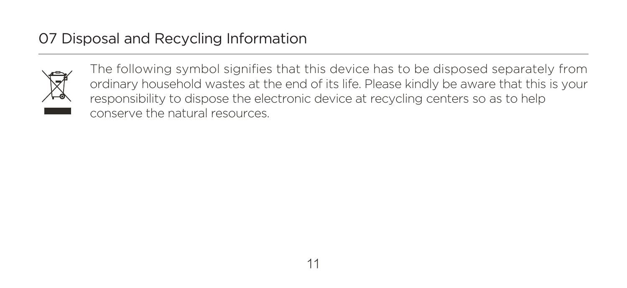## 07 Disposal and Recycling Information



The following symbol signifies that this device has to be disposed separately from ordinary household wastes at the end of its life. Please kindly be aware that this is your responsibility to dispose the electronic device at recycling centers so as to help conserve the natural resources.

11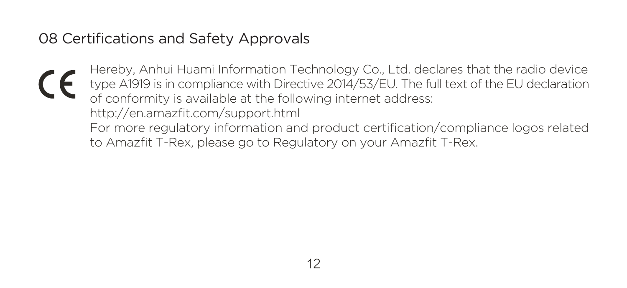## 08 Certifications and Safety Approvals

Hereby, Anhui Huami Information Technology Co., Ltd. declares that the radio device type A1919 is in compliance with Directive 2014/53/EU. The full text of the EU declaration of conformity is available at the following internet address: http://en.amazfit.com/support.html For more regulatory information and product certification/compliance logos related to Amazfit T-Rex, please go to Regulatory on your Amazfit T-Rex.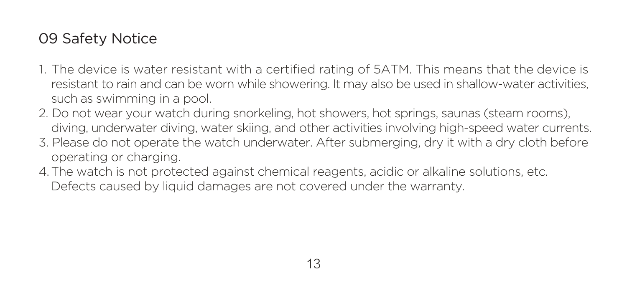- 1. The device is water resistant with a certified rating of 5ATM. This means that the device is resistant to rain and can be worn while showering. It may also be used in shallow-water activities, such as swimming in a pool.
- 2. Do not wear your watch during snorkeling, hot showers, hot springs, saunas (steam rooms), diving, underwater diving, water skiing, and other activities involving high-speed water currents.
- 3. Please do not operate the watch underwater. After submerging, dry it with a dry cloth before operating or charging.
- 4. The watch is not protected against chemical reagents, acidic or alkaline solutions, etc. Defects caused by liquid damages are not covered under the warranty.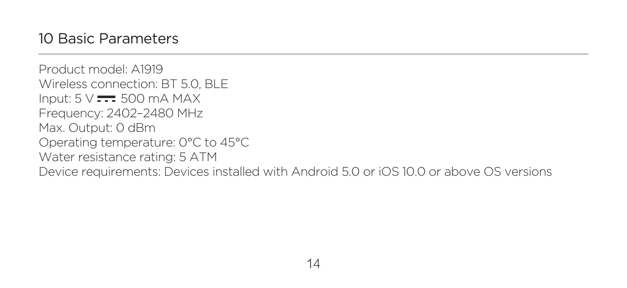Product model: A1919 Wireless connection: BT 5.0, BLE Input:  $5 \vee \neq 500$  mA MAX Frequency: 2402–2480 MHz Max. Output: 0 dBm Operating temperature: 0°C to 45°C Water resistance rating: 5 ATM Device requirements: Devices installed with Android 5.0 or iOS 10.0 or above OS versions